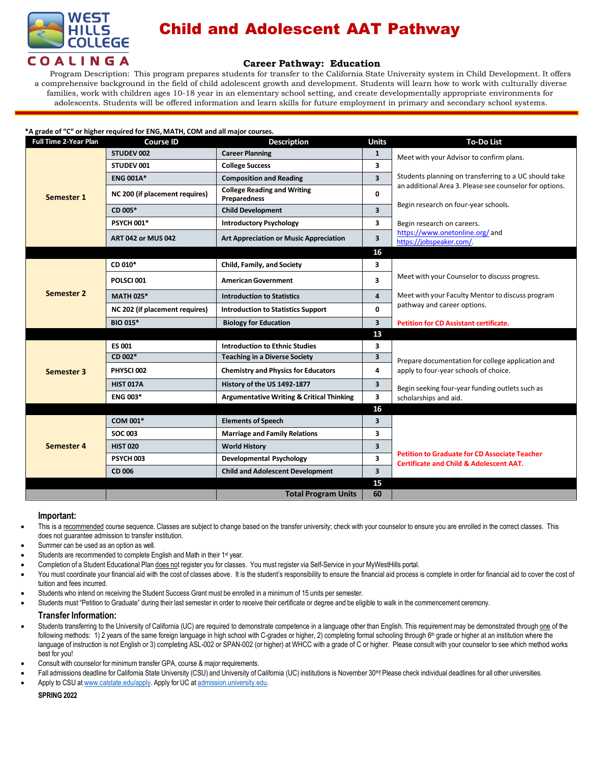

# Child and Adolescent AAT Pathway

## **Career Pathway: Education**

Program Description: This program prepares students for transfer to the California State University system in Child Development. It offers a comprehensive background in the field of child adolescent growth and development. Students will learn how to work with culturally diverse families, work with children ages 10-18 year in an elementary school setting, and create developmentally appropriate environments for adolescents. Students will be offered information and learn skills for future employment in primary and secondary school systems.

| *A grade of "C" or higher required for ENG, MATH, COM and all major courses. |                                |                                                           |                         |                                                                                                            |  |  |  |  |
|------------------------------------------------------------------------------|--------------------------------|-----------------------------------------------------------|-------------------------|------------------------------------------------------------------------------------------------------------|--|--|--|--|
| <b>Full Time 2-Year Plan</b>                                                 | <b>Course ID</b>               | <b>Description</b>                                        | <b>Units</b>            | <b>To-Do List</b>                                                                                          |  |  |  |  |
| Semester 1                                                                   | STUDEV 002                     | <b>Career Planning</b>                                    | $\mathbf{1}$            | Meet with your Advisor to confirm plans.                                                                   |  |  |  |  |
|                                                                              | STUDEV 001                     | <b>College Success</b>                                    | 3                       |                                                                                                            |  |  |  |  |
|                                                                              | <b>ENG 001A*</b>               | <b>Composition and Reading</b>                            | $\overline{\mathbf{3}}$ | Students planning on transferring to a UC should take                                                      |  |  |  |  |
|                                                                              | NC 200 (if placement requires) | <b>College Reading and Writing</b><br><b>Preparedness</b> | 0                       | an additional Area 3. Please see counselor for options.                                                    |  |  |  |  |
|                                                                              | CD 005*                        | <b>Child Development</b>                                  | 3                       | Begin research on four-year schools.                                                                       |  |  |  |  |
|                                                                              | <b>PSYCH 001*</b>              | <b>Introductory Psychology</b>                            | 3                       | Begin research on careers.                                                                                 |  |  |  |  |
|                                                                              | <b>ART 042 or MUS 042</b>      | <b>Art Appreciation or Music Appreciation</b>             | 3                       | https://www.onetonline.org/and<br>https://jobspeaker.com/.                                                 |  |  |  |  |
|                                                                              |                                |                                                           | 16                      |                                                                                                            |  |  |  |  |
| Semester 2                                                                   | CD 010*                        | Child, Family, and Society                                | 3                       |                                                                                                            |  |  |  |  |
|                                                                              | POLSCI 001                     | <b>American Government</b>                                | 3                       | Meet with your Counselor to discuss progress.                                                              |  |  |  |  |
|                                                                              | <b>MATH 025*</b>               | <b>Introduction to Statistics</b>                         | 4                       | Meet with your Faculty Mentor to discuss program                                                           |  |  |  |  |
|                                                                              | NC 202 (if placement requires) | <b>Introduction to Statistics Support</b>                 | 0                       | pathway and career options.                                                                                |  |  |  |  |
|                                                                              | <b>BIO 015*</b>                | <b>Biology for Education</b>                              | 3                       | <b>Petition for CD Assistant certificate.</b>                                                              |  |  |  |  |
|                                                                              |                                |                                                           | 13                      |                                                                                                            |  |  |  |  |
|                                                                              | <b>ES 001</b>                  | <b>Introduction to Ethnic Studies</b>                     | 3                       |                                                                                                            |  |  |  |  |
| Semester 3                                                                   | CD 002*                        | <b>Teaching in a Diverse Society</b>                      | $\overline{\mathbf{3}}$ | Prepare documentation for college application and                                                          |  |  |  |  |
|                                                                              | PHYSCI 002                     | <b>Chemistry and Physics for Educators</b>                | 4                       | apply to four-year schools of choice.                                                                      |  |  |  |  |
|                                                                              | <b>HIST 017A</b>               | History of the US 1492-1877                               | 3                       | Begin seeking four-year funding outlets such as                                                            |  |  |  |  |
|                                                                              | <b>ENG 003*</b>                | <b>Argumentative Writing &amp; Critical Thinking</b>      | 3                       | scholarships and aid.                                                                                      |  |  |  |  |
|                                                                              |                                |                                                           | 16                      |                                                                                                            |  |  |  |  |
| Semester 4                                                                   | COM 001*                       | <b>Elements of Speech</b>                                 | 3                       |                                                                                                            |  |  |  |  |
|                                                                              | <b>SOC 003</b>                 | <b>Marriage and Family Relations</b>                      | 3                       |                                                                                                            |  |  |  |  |
|                                                                              | <b>HIST 020</b>                | <b>World History</b>                                      | 3                       |                                                                                                            |  |  |  |  |
|                                                                              | PSYCH 003                      | <b>Developmental Psychology</b>                           | 3                       | <b>Petition to Graduate for CD Associate Teacher</b><br><b>Certificate and Child &amp; Adolescent AAT.</b> |  |  |  |  |
|                                                                              | CD 006                         | <b>Child and Adolescent Development</b>                   | $\overline{3}$          |                                                                                                            |  |  |  |  |
|                                                                              |                                |                                                           | 15                      |                                                                                                            |  |  |  |  |
|                                                                              |                                | <b>Total Program Units</b>                                | 60                      |                                                                                                            |  |  |  |  |

### **Important:**

- This is a recommended course sequence. Classes are subject to change based on the transfer university; check with your counselor to ensure you are enrolled in the correct classes. This does not guarantee admission to transfer institution.
- Summer can be used as an option as well.
- Students are recommended to complete English and Math in their 1<sup>st</sup> year.
- Completion of a Student Educational Plan does not register you for classes. You must register via Self-Service in your MyWestHills portal.
- You must coordinate your financial aid with the cost of classes above. It is the student's responsibility to ensure the financial aid process is complete in order for financial aid to cover the cost of tuition and fees incurred.
- Students who intend on receiving the Student Success Grant must be enrolled in a minimum of 15 units per semester.
- Students must "Petition to Graduate" during their last semester in order to receive their certificate or degree and be eligible to walk in the commencement ceremony.

**Transfer Information:**

- Students transferring to the University of California (UC) are required to demonstrate competence in a language other than English. This requirement may be demonstrated through one of the following methods: 1) 2 years of the same foreign language in high school with C-grades or higher, 2) completing formal schooling through 6<sup>th</sup> grade or higher at an institution where the language of instruction is not English or 3) completing ASL-002 or SPAN-002 (or higher) at WHCC with a grade of C or higher. Please consult with your counselor to see which method works best for you!
- Consult with counselor for minimum transfer GPA, course & major requirements.
- Fall admissions deadline for California State University (CSU) and University of California (UC) institutions is November 30<sup>th</sup>! Please check individual deadlines for all other universities.
- Apply to CSU at [www.calstate.edu/apply.](http://www.calstate.edu/apply) Apply for UC at [admission.university.edu.](http://www.apply.universityofcalifornia.edu/)

**SPRING 2022**